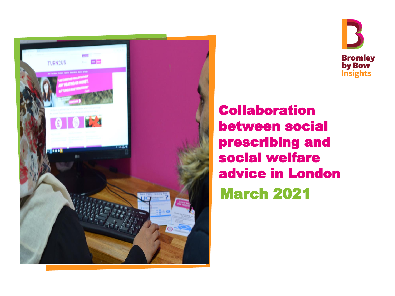



Collaboration between social prescribing and social welfare advice in London March 2021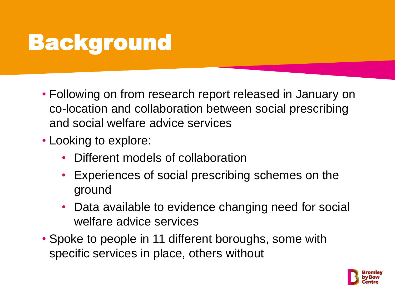# Background

- Following on from research report released in January on co-location and collaboration between social prescribing and social welfare advice services
- Looking to explore:
	- Different models of collaboration
	- Experiences of social prescribing schemes on the ground
	- Data available to evidence changing need for social welfare advice services
- Spoke to people in 11 different boroughs, some with specific services in place, others without

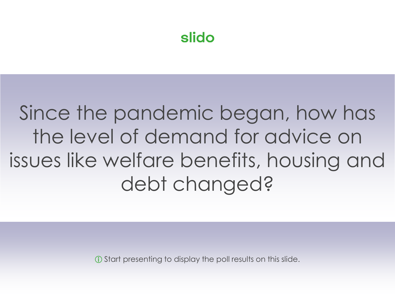## Since the pandemic began, how has the level of demand for advice on issues like welfare benefits, housing and debt changed?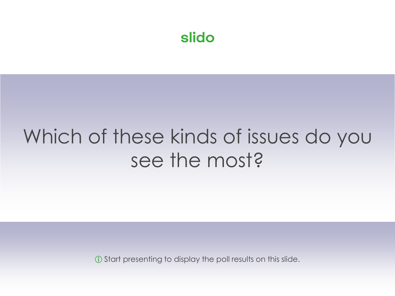## Which of these kinds of issues do you see the most?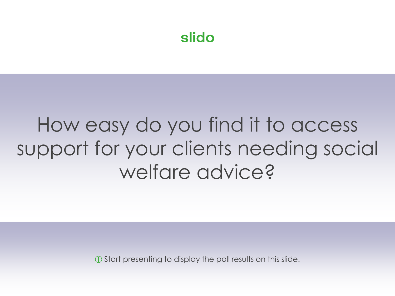## How easy do you find it to access support for your clients needing social welfare advice?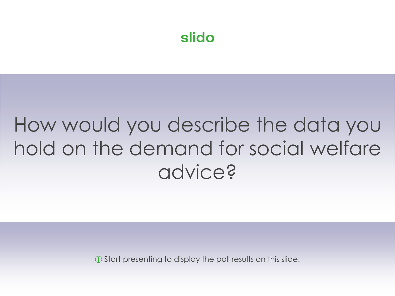## How would you describe the data you hold on the demand for social welfare advice?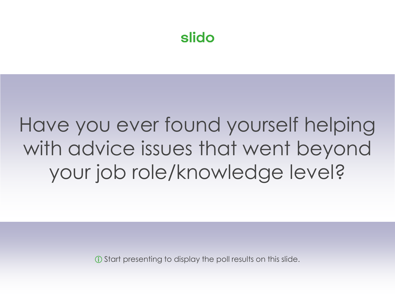## Have you ever found yourself helping with advice issues that went beyond your job role/knowledge level?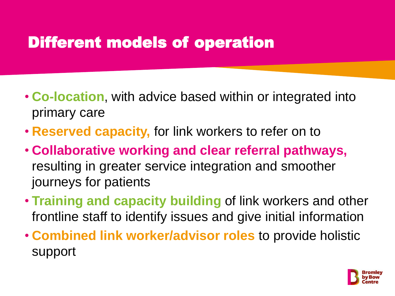#### Different models of operation

- **Co-location**, with advice based within or integrated into primary care
- **Reserved capacity,** for link workers to refer on to
- **Collaborative working and clear referral pathways,**  resulting in greater service integration and smoother journeys for patients
- **Training and capacity building** of link workers and other frontline staff to identify issues and give initial information
- **Combined link worker/advisor roles** to provide holistic support

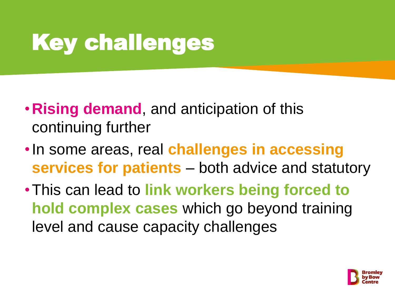# Key challenges

- •**Rising demand**, and anticipation of this continuing further
- •In some areas, real **challenges in accessing services for patients** – both advice and statutory
- •This can lead to **link workers being forced to hold complex cases** which go beyond training level and cause capacity challenges

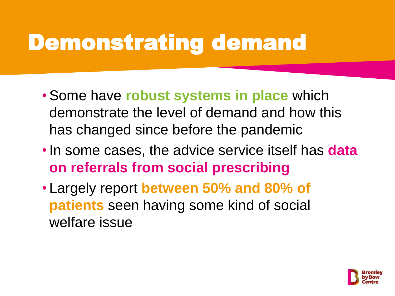# Demonstrating demand

- Some have **robust systems in place** which demonstrate the level of demand and how this has changed since before the pandemic
- •In some cases, the advice service itself has **data on referrals from social prescribing**
- Largely report **between 50% and 80% of patients** seen having some kind of social welfare issue

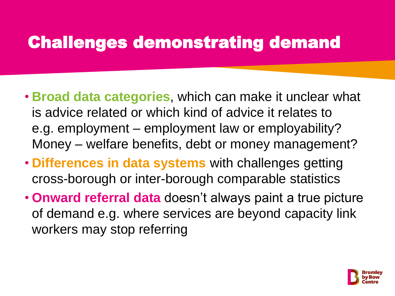### Challenges demonstrating demand

- **Broad data categories**, which can make it unclear what is advice related or which kind of advice it relates to e.g. employment – employment law or employability? Money – welfare benefits, debt or money management?
- **Differences in data systems** with challenges getting cross-borough or inter-borough comparable statistics
- **Onward referral data** doesn't always paint a true picture of demand e.g. where services are beyond capacity link workers may stop referring